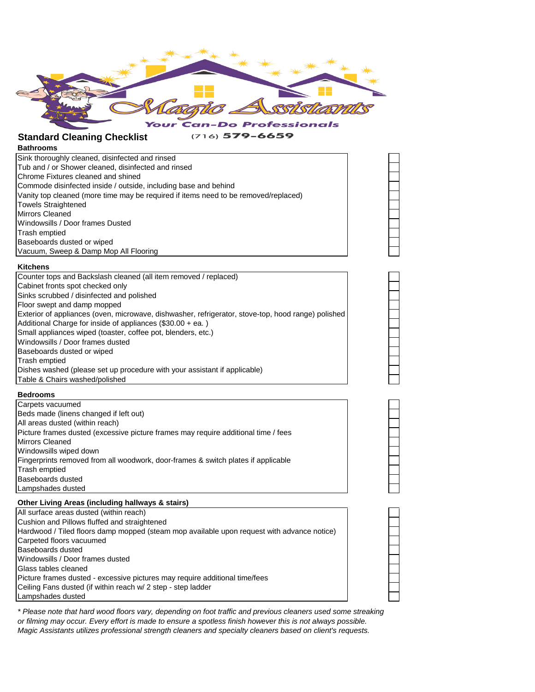

 $(716)$  579-6659

# **Standard Cleaning Checklist**

## **Bathrooms**

| Daun vun 3                                                                          |
|-------------------------------------------------------------------------------------|
| Sink thoroughly cleaned, disinfected and rinsed                                     |
| Tub and / or Shower cleaned, disinfected and rinsed                                 |
| <b>IChrome Fixtures cleaned and shined</b>                                          |
| Commode disinfected inside / outside, including base and behind                     |
| Vanity top cleaned (more time may be required if items need to be removed/replaced) |
| <b>Towels Straightened</b>                                                          |
| <b>Mirrors Cleaned</b>                                                              |
| Windowsills / Door frames Dusted                                                    |
| Trash emptied                                                                       |
| Baseboards dusted or wiped                                                          |
| Vacuum, Sweep & Damp Mop All Flooring                                               |

#### **Kitchens**

| Counter tops and Backslash cleaned (all item removed / replaced)                                   |
|----------------------------------------------------------------------------------------------------|
| Cabinet fronts spot checked only                                                                   |
| Sinks scrubbed / disinfected and polished                                                          |
| Floor swept and damp mopped                                                                        |
| Exterior of appliances (oven, microwave, dishwasher, refrigerator, stove-top, hood range) polished |
| Additional Charge for inside of appliances (\$30.00 + ea.)                                         |
| Small appliances wiped (toaster, coffee pot, blenders, etc.)                                       |
| Windowsills / Door frames dusted                                                                   |
| Baseboards dusted or wiped                                                                         |
| Trash emptied                                                                                      |
| Dishes washed (please set up procedure with your assistant if applicable)                          |
| Table & Chairs washed/polished                                                                     |

### **Bedrooms**

| Carpets vacuumed                                                                   |
|------------------------------------------------------------------------------------|
| Beds made (linens changed if left out)                                             |
| All areas dusted (within reach)                                                    |
| Picture frames dusted (excessive picture frames may require additional time / fees |
| <b>Mirrors Cleaned</b>                                                             |
| Windowsills wiped down                                                             |
| Fingerprints removed from all woodwork, door-frames & switch plates if applicable  |
| <b>Trash emptied</b>                                                               |
| <b>Baseboards dusted</b>                                                           |
| Lampshades dusted                                                                  |

### **Other Living Areas (including hallways & stairs)**

| All surface areas dusted (within reach)                                                    |
|--------------------------------------------------------------------------------------------|
| Cushion and Pillows fluffed and straightened                                               |
| Hardwood / Tiled floors damp mopped (steam mop available upon request with advance notice) |
| Carpeted floors vacuumed                                                                   |
| Baseboards dusted                                                                          |
| Windowsills / Door frames dusted                                                           |
| Glass tables cleaned                                                                       |
| Picture frames dusted - excessive pictures may require additional time/fees                |
| Ceiling Fans dusted (if within reach w/ 2 step - step ladder                               |
| Lampshades dusted                                                                          |

*\* Please note that hard wood floors vary, depending on foot traffic and previous cleaners used some streaking or filming may occur. Every effort is made to ensure a spotless finish however this is not always possible. Magic Assistants utilizes professional strength cleaners and specialty cleaners based on client's requests.*